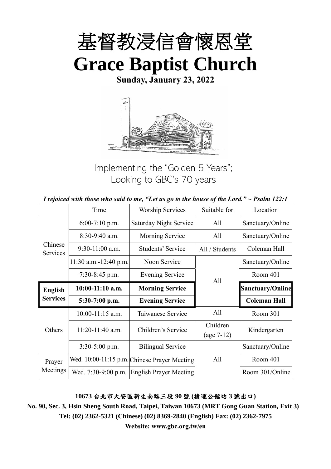

**Sunday, January 23, 2022**



Implementing the "Golden 5 Years"; Looking to GBC's 70 years

| I rejoiced with those who said to me, "Let us go to the house of the Lord." $\sim$ Psalm 122:1 |  |  |
|------------------------------------------------------------------------------------------------|--|--|
|------------------------------------------------------------------------------------------------|--|--|

|                                   | Time                  | <b>Worship Services</b>                      | Suitable for             | Location                |
|-----------------------------------|-----------------------|----------------------------------------------|--------------------------|-------------------------|
|                                   | $6:00-7:10$ p.m.      | Saturday Night Service                       | All                      | Sanctuary/Online        |
|                                   | 8:30-9:40 a.m.        | Morning Service                              | All                      | Sanctuary/Online        |
| Chinese<br>Services               | $9:30-11:00$ a.m.     | Students' Service                            | All / Students           | Coleman Hall            |
|                                   | 11:30 a.m.-12:40 p.m. | Noon Service                                 |                          | Sanctuary/Online        |
|                                   | $7:30-8:45$ p.m.      | <b>Evening Service</b>                       | All                      | Room 401                |
| <b>English</b><br><b>Services</b> | $10:00-11:10$ a.m.    | <b>Morning Service</b>                       |                          | <b>Sanctuary/Online</b> |
|                                   | 5:30-7:00 p.m.        | <b>Evening Service</b>                       |                          | <b>Coleman Hall</b>     |
|                                   | $10:00-11:15$ a.m.    | Taiwanese Service                            | All                      | Room 301                |
| Others                            | $11:20-11:40$ a.m.    | Children's Service                           | Children<br>$(age 7-12)$ | Kindergarten            |
|                                   | $3:30-5:00$ p.m.      | <b>Bilingual Service</b>                     |                          | Sanctuary/Online        |
| Prayer                            |                       | Wed. 10:00-11:15 p.m. Chinese Prayer Meeting | All                      | Room 401                |
| Meetings                          | Wed. 7:30-9:00 p.m.   | <b>English Prayer Meeting</b>                |                          | Room 301/Online         |

**10673** 台北市大安區新生南路三段 **90** 號 **(**捷運公館站 **3** 號出口**)**

**No. 90, Sec. 3, Hsin Sheng South Road, Taipei, Taiwan 10673 (MRT Gong Guan Station, Exit 3) Tel: (02) 2362-5321 (Chinese) (02) 8369-2840 (English) Fax: (02) 2362-7975**

**Website: www.gbc.org.tw/en**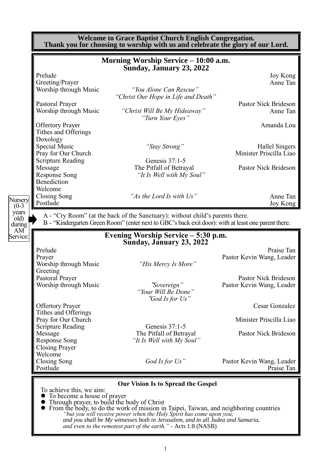|                                                 | Morning Worship Service - 10:00 a.m.                                                                                                                                                 |                                                                                              |
|-------------------------------------------------|--------------------------------------------------------------------------------------------------------------------------------------------------------------------------------------|----------------------------------------------------------------------------------------------|
| Prelude                                         | Sunday, January 23, 2022                                                                                                                                                             | Joy Kong                                                                                     |
| Greeting/Prayer                                 |                                                                                                                                                                                      | Anne Tan                                                                                     |
| Worship through Music                           | "You Alone Can Rescue"                                                                                                                                                               |                                                                                              |
|                                                 | "Christ Our Hope in Life and Death"                                                                                                                                                  | Pastor Nick Brideson                                                                         |
| Pastoral Prayer<br>Worship through Music        | "Christ Will Be My Hideaway"<br>"Turn Your Eyes"                                                                                                                                     | Anne Tan                                                                                     |
| <b>Offertory Prayer</b><br>Tithes and Offerings |                                                                                                                                                                                      | Amanda Lou                                                                                   |
| Doxology                                        |                                                                                                                                                                                      |                                                                                              |
| Special Music                                   | "Stay Strong"                                                                                                                                                                        | <b>Hallel Singers</b>                                                                        |
| Pray for Our Church                             |                                                                                                                                                                                      | Minister Priscilla Liao                                                                      |
| <b>Scripture Reading</b>                        | Genesis 37:1-5                                                                                                                                                                       |                                                                                              |
| Message                                         | The Pitfall of Betrayal                                                                                                                                                              | <b>Pastor Nick Brideson</b>                                                                  |
| <b>Response Song</b>                            | "It Is Well with My Soul"                                                                                                                                                            |                                                                                              |
| Benediction                                     |                                                                                                                                                                                      |                                                                                              |
| Welcome                                         |                                                                                                                                                                                      |                                                                                              |
|                                                 |                                                                                                                                                                                      |                                                                                              |
| Closing Song                                    | "As the Lord Is with Us"                                                                                                                                                             |                                                                                              |
| Postlude                                        | A - "Cry Room" (at the back of the Sanctuary): without child's parents there.<br>B - "Kindergarten Green Room" (enter next to GBC's back exit door): with at least one parent there. | Anne Tan<br>Joy Kong                                                                         |
|                                                 | Evening Worship Service – 5:30 p.m.                                                                                                                                                  |                                                                                              |
|                                                 | Sunday, January 23, 2022                                                                                                                                                             |                                                                                              |
| Prelude                                         |                                                                                                                                                                                      |                                                                                              |
| Prayer                                          |                                                                                                                                                                                      |                                                                                              |
| Worship through Music<br>Greeting               | "His Mercy Is More"                                                                                                                                                                  |                                                                                              |
| Pastoral Prayer                                 |                                                                                                                                                                                      |                                                                                              |
| Worship through Music                           | "Sovereign"<br>"Your Will Be Done"                                                                                                                                                   | Praise Tan<br>Pastor Kevin Wang, Leader<br>Pastor Nick Brideson<br>Pastor Kevin Wang, Leader |
|                                                 | "God Is for Us"                                                                                                                                                                      |                                                                                              |
| <b>Offertory Prayer</b>                         |                                                                                                                                                                                      | Cesar Gonzalez                                                                               |
| Tithes and Offerings                            |                                                                                                                                                                                      |                                                                                              |
| Pray for Our Church                             |                                                                                                                                                                                      |                                                                                              |
| <b>Scripture Reading</b>                        | Genesis 37:1-5                                                                                                                                                                       |                                                                                              |
| Message                                         | The Pitfall of Betrayal                                                                                                                                                              |                                                                                              |
| Response Song                                   | "It Is Well with My Soul"                                                                                                                                                            |                                                                                              |
| <b>Closing Prayer</b><br>Welcome                |                                                                                                                                                                                      |                                                                                              |
| Closing Song<br>Postlude                        | God Is for $Us$ "                                                                                                                                                                    | Minister Priscilla Liao<br>Pastor Nick Brideson<br>Pastor Kevin Wang, Leader<br>Praise Tan   |

⚫ To become a house of prayer

- ⚫ Through prayer, to build the body of Christ
- ⚫ From the body, to do the work of mission in Taipei, Taiwan, and neighboring countries *"but you will receive power when the Holy Spirit has come upon you; and you shall be My witnesses both in Jerusalem, and in all Judea and Samaria, and even to the remotest part of the earth." -* Acts 1:8 (NASB)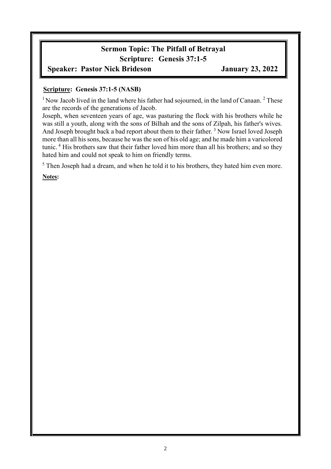# **Sermon Topic: The Pitfall of Betrayal Scripture: Genesis 37:1-5**

### **Speaker: Pastor Nick Brideson January 23, 2022**

#### **Scripture: Genesis 37:1-5 (NASB)**

 $1$  Now Jacob lived in the land where his father had sojourned, in the land of Canaan.  $2$  These are the records of the generations of Jacob.

Joseph, when seventeen years of age, was pasturing the flock with his brothers while he was still a youth, along with the sons of Bilhah and the sons of Zilpah, his father's wives. And Joseph brought back a bad report about them to their father.<sup>3</sup> Now Israel loved Joseph more than all his sons, because he was the son of his old age; and he made him a varicolored tunic.<sup>4</sup> His brothers saw that their father loved him more than all his brothers; and so they hated him and could not speak to him on friendly terms.

<sup>5</sup> Then Joseph had a dream, and when he told it to his brothers, they hated him even more.

**Notes:**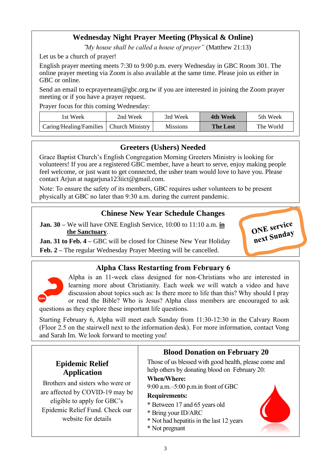## **Wednesday Night Prayer Meeting (Physical & Online)**

"*My house shall be called a house of prayer"* (Matthew 21:13)

Let us be a church of prayer!

English prayer meeting meets 7:30 to 9:00 p.m. every Wednesday in GBC Room 301. The online prayer meeting via Zoom is also available at the same time. Please join us either in GBC or online.

Send an email to ecprayerteam@gbc.org.tw if you are interested in joining the Zoom prayer meeting or if you have a prayer request.

Prayer focus for this coming Wednesday:

| ist Week                                  | 2nd Week | 3rd Week        | 4th Week        | 5th Week  |
|-------------------------------------------|----------|-----------------|-----------------|-----------|
| Caring/Healing/Families   Church Ministry |          | <b>Missions</b> | <b>The Lost</b> | The World |

### **Greeters (Ushers) Needed**

Grace Baptist Church's English Congregation Morning Greeters Ministry is looking for volunteers! If you are a registered GBC member, have a heart to serve, enjoy making people feel welcome, or just want to get connected, the usher team would love to have you. Please contact Arjun at nagarjuna123iict@gmail.com.

Note: To ensure the safety of its members, GBC requires usher volunteers to be present physically at GBC no later than 9:30 a.m. during the current pandemic.

### **Chinese New Year Schedule Changes**

**Jan. 30 –** We will have ONE English Service, 10:00 to 11:10 a.m. **in the Sanctuary**.

**Jan. 31 to Feb. 4 – GBC will be closed for Chinese New Year Holiday** 

**Feb. 2 –** The regular Wednesday Prayer Meeting will be cancelled.

### **Alpha Class Restarting from February 6**



Alpha is an 11-week class designed for non-Christians who are interested in learning more about Christianity. Each week we will watch a video and have discussion about topics such as: Is there more to life than this? Why should I pray or read the Bible? Who is Jesus? Alpha class members are encouraged to ask questions as they explore these important life questions.

ONE service ONE Sunday

Starting February 6, Alpha will meet each Sunday from 11:30-12:30 in the Calvary Room (Floor 2.5 on the stairwell next to the information desk). For more information, contact Vong and Sarah Im. We look forward to meeting you!

|                                                                                                                                                              | <b>Blood Donation on February 20</b>                                                                                                                                                                        |  |  |
|--------------------------------------------------------------------------------------------------------------------------------------------------------------|-------------------------------------------------------------------------------------------------------------------------------------------------------------------------------------------------------------|--|--|
| <b>Epidemic Relief</b><br><b>Application</b>                                                                                                                 | Those of us blessed with good health, please come and<br>help others by donating blood on February 20:                                                                                                      |  |  |
| Brothers and sisters who were or<br>are affected by COVID-19 may be<br>eligible to apply for GBC's<br>Epidemic Relief Fund. Check our<br>website for details | <b>When/Where:</b><br>$9:00$ a.m. $-5:00$ p.m.in front of GBC<br><b>Requirements:</b><br>* Between 17 and 65 years old<br>* Bring your ID/ARC<br>* Not had hepatitis in the last 12 years<br>* Not pregnant |  |  |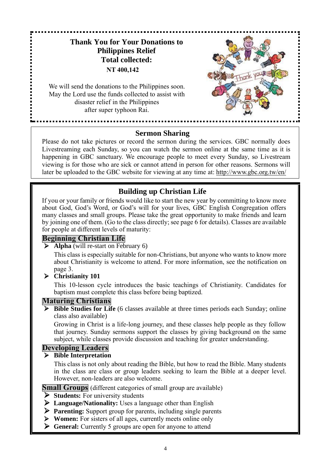## **Thank You for Your Donations to Philippines Relief Total collected: NT 400,142**

We will send the donations to the Philippines soon. May the Lord use the funds collected to assist with disaster relief in the Philippines after super typhoon Rai.



### **Sermon Sharing**

Please do not take pictures or record the sermon during the services. GBC normally does Livestreaming each Sunday, so you can watch the sermon online at the same time as it is happening in GBC sanctuary. We encourage people to meet every Sunday, so Livestream viewing is for those who are sick or cannot attend in person for other reasons. Sermons will later be uploaded to the GBC website for viewing at any time at: http://www.gbc.org.tw/en/

### **Building up Christian Life**

If you or your family or friends would like to start the new year by committing to know more about God, God's Word, or God's will for your lives, GBC English Congregation offers many classes and small groups. Please take the great opportunity to make friends and learn by joining one of them. (Go to the class directly; see page 6 for details). Classes are available for people at different levels of maturity:

#### **Beginning Christian Life**

➢ **Alpha** (will re-start on February 6)

This class is especially suitable for non-Christians, but anyone who wants to know more about Christianity is welcome to attend. For more information, see the notification on page 3.

#### ➢ **Christianity 101**

This 10-lesson cycle introduces the basic teachings of Christianity. Candidates for baptism must complete this class before being baptized.

#### **Maturing Christians**

➢ **Bible Studies for Life** (6 classes available at three times periods each Sunday; online class also available)

Growing in Christ is a life-long journey, and these classes help people as they follow that journey. Sunday sermons support the classes by giving background on the same subject, while classes provide discussion and teaching for greater understanding.

### **Developing Leaders**

#### ➢ **Bible Interpretation**

This class is not only about reading the Bible, but how to read the Bible. Many students in the class are class or group leaders seeking to learn the Bible at a deeper level. However, non-leaders are also welcome.

**Small Groups** (different categories of small group are available)

- ➢ **Students:** For university students
- ➢ **Language/Nationality:** Uses a language other than English
- ➢ **Parenting:** Support group for parents, including single parents
- ➢ **Women:** For sisters of all ages, currently meets online only
- ➢ **General:** Currently 5 groups are open for anyone to attend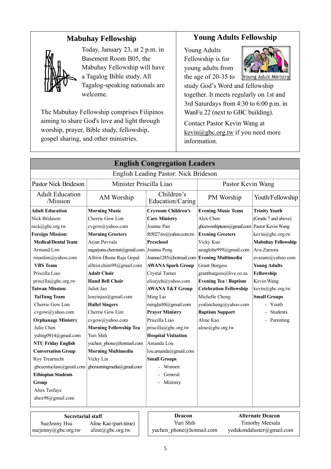## **Mabuhay Fellowship**



Today, January 23, at 2 p.m. in Basement Room B05, the Mabuhay Fellowship will have a Tagalog Bible study. All Tagalog-speaking nationals are welcome.

The Mabuhay Fellowship comprises Filipinos aiming to share God's love and light through worship, prayer, Bible study, fellowship, gospel sharing, and other ministries.

## **Young Adults Fellowship**

Young Adults Fellowship is for young adults from the age of 20-35 to



Young Adult Ministry study God's Word and fellowship together. It meets regularly on 1st and 3rd Saturdays from 4:30 to 6:00 p.m. in WanFu 22 (next to GBC building).

Contact Pastor Kevin Wang at kevin@gbc.org.tw if you need more information.

| <b>English Congregation Leaders</b>                           |                                         |                                                    |                                             |                           |  |
|---------------------------------------------------------------|-----------------------------------------|----------------------------------------------------|---------------------------------------------|---------------------------|--|
| English Leading Pastor: Nick Brideson                         |                                         |                                                    |                                             |                           |  |
| <b>Pastor Nick Brideson</b>                                   | Minister Priscilla Liao                 |                                                    | Pastor Kevin Wang                           |                           |  |
| <b>Adult Education</b><br>/Mission                            | AM Worship                              | Children's<br>Education/Caring                     |                                             | Youth/Fellowship          |  |
| <b>Adult Education</b>                                        | <b>Morning Music</b>                    | <b>Cryroom Children's</b>                          | <b>Evening Music Team</b>                   | <b>Trinity Youth</b>      |  |
| Nick Brideson                                                 | Cherrie Gow Lim                         | <b>Care Ministry</b>                               | Alex Chen                                   | (Grade 7 and above)       |  |
| nick@gbc.org.tw                                               | cvgow@yahoo.com                         | Joanne Pan                                         | gbceworshipteam@gmail.com Pastor Kevin Wang |                           |  |
| <b>Foreign Mission:</b>                                       | <b>Morning Greeters</b>                 | f65027.tw@yahoo.com.tw                             | <b>Evening Greeters</b>                     | kevin@gbc.org.tw          |  |
| <b>Medical/Dental Team</b>                                    | Arjun Puvvala                           | Preschool                                          | Vicky Kuo                                   | <b>Mabuhay Fellowship</b> |  |
| Armand Lim                                                    | nagarjuna.chemist@gmail.com Joanna Peng |                                                    | asiaglobe999@gmail.com                      | Ava Zamora                |  |
| rmanlim@yahoo.com                                             | Alltrin Dhana Raja Gopal                | Joanna1285@hotmail.com Evening Multimedia          |                                             | avazam@yahoo.com          |  |
| <b>VBS</b> Team                                               | alltrin.chim99@gmail.com                | <b>AWANA Spark Group</b>                           | <b>Grant Burgess</b>                        | <b>Young Adults</b>       |  |
| Priscilla Liao                                                | <b>Adult Choir</b>                      | Crystal Turner<br>grantburgess@live.co.za          |                                             | Fellowship                |  |
| priscilla@gbc.org.tw                                          | <b>Hand Bell Choir</b>                  | elisayeh@yahoo.com<br><b>Evening Tea / Baptism</b> |                                             | Kevin Wang                |  |
| <b>Taiwan Mission:</b>                                        | Juliet Jao                              | <b>AWANA T&amp;T Group</b>                         | <b>Celebration Fellowship</b>               | kevin@gbc.org.tw          |  |
| <b>TaiTung Team</b>                                           | lenyinjao@gmail.com                     | Ming Lai                                           | Michelle Cheng                              | <b>Small Groups</b>       |  |
| Cherrie Gow Lim                                               | <b>Hallel Singers</b>                   | minglai88@gmail.com                                | yealincheng@yahoo.com                       | - Youth                   |  |
| cvgow@yahoo.com                                               | Cherrie Gow Lim                         | <b>Prayer Ministry</b>                             | <b>Baptism Support</b>                      | <b>Students</b>           |  |
| <b>Orphanage Ministry</b>                                     | cvgow@yahoo.com                         | Priscilla Liao                                     | Aline Kao                                   | - Parenting               |  |
| Julie Chen                                                    | <b>Morning Fellowship Tea</b>           | priscilla@gbc.org.tw                               | aline@gbc.org.tw                            |                           |  |
| yuling0914@gmail.com                                          | Yuri Shih                               | <b>Hospital Visitation</b>                         |                                             |                           |  |
| <b>NTU Friday English</b>                                     | yuchen phone@hotmail.com                | Amanda Lou                                         |                                             |                           |  |
| <b>Conversation Group</b>                                     | <b>Morning Multimedia</b>               | lou.amanda@gmail.com                               |                                             |                           |  |
| Roy Treurnicht                                                | Vicky Lin                               | <b>Small Groups</b>                                |                                             |                           |  |
| gbcecntuclass@gmail.com                                       | gbcmorningmedia@gmail.com               | Women                                              |                                             |                           |  |
| <b>Ethiopian Students</b>                                     |                                         | General                                            |                                             |                           |  |
| Group                                                         |                                         | Ministry                                           |                                             |                           |  |
| Abex Tesfaye                                                  |                                         |                                                    |                                             |                           |  |
| abex98@gmail.com                                              |                                         |                                                    |                                             |                           |  |
| <b>Alternate Deacon</b><br>Deacon<br><b>Secretarial staff</b> |                                         |                                                    |                                             |                           |  |
| SueJenny Hsu<br>Aline Kao (part-time)                         |                                         | Yuri Shih<br><b>Timothy Meesala</b>                |                                             |                           |  |

#### suejenny@gbc.org.tw aline@gbc.org.tw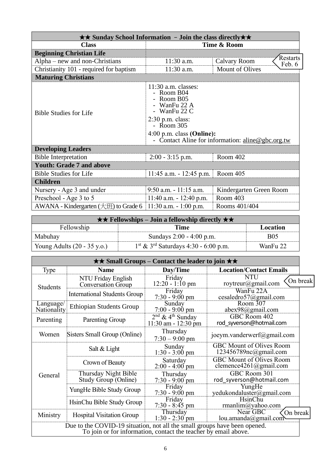| $\star\star$ Sunday School Information - Join the class directly $\star\star$  |                                                                                                                                                  |                                  |  |  |  |
|--------------------------------------------------------------------------------|--------------------------------------------------------------------------------------------------------------------------------------------------|----------------------------------|--|--|--|
| <b>Class</b>                                                                   | Time & Room                                                                                                                                      |                                  |  |  |  |
| <b>Beginning Christian Life</b>                                                |                                                                                                                                                  | Restarts                         |  |  |  |
| Alpha – new and non-Christians                                                 | 11:30 a.m.<br>Calvary Room                                                                                                                       |                                  |  |  |  |
| Christianity 101 - required for baptism                                        | 11:30 a.m.                                                                                                                                       | Feb. 6<br><b>Mount of Olives</b> |  |  |  |
| <b>Maturing Christians</b>                                                     |                                                                                                                                                  |                                  |  |  |  |
| <b>Bible Studies for Life</b>                                                  | $11:30$ a.m. classes:<br>- Room B04<br>Room B05<br>WanFu 22 A<br>- WanFu 22 C<br>$2:30$ p.m. class:<br>- Room 305<br>$4:00$ p.m. class (Online): |                                  |  |  |  |
| - Contact Aline for information: aline@gbc.org.tw<br><b>Developing Leaders</b> |                                                                                                                                                  |                                  |  |  |  |
| <b>Bible Interpretation</b>                                                    | $2:00 - 3:15$ p.m.                                                                                                                               | Room 402                         |  |  |  |
| <b>Youth: Grade 7 and above</b>                                                |                                                                                                                                                  |                                  |  |  |  |
| <b>Bible Studies for Life</b>                                                  | Room 405<br>$11:45$ a.m. $-12:45$ p.m.                                                                                                           |                                  |  |  |  |
| <b>Children</b>                                                                |                                                                                                                                                  |                                  |  |  |  |
| Nursery - Age 3 and under                                                      | $9:50$ a.m. $-11:15$ a.m.                                                                                                                        | Kindergarten Green Room          |  |  |  |
| Preschool - Age 3 to 5                                                         | $11:40$ a.m. $-12:40$ p.m.                                                                                                                       | Room 403                         |  |  |  |
| AWANA - Kindergarten $(\pm 1)$ to Grade 6                                      | 11:30 a.m. $-1:00$ p.m.                                                                                                                          | Rooms 401/404                    |  |  |  |

| <b>★★ Fellowships</b> – Join a fellowship directly $\star \star$ |                                                    |            |  |
|------------------------------------------------------------------|----------------------------------------------------|------------|--|
| Fellowship<br>Location<br>Time                                   |                                                    |            |  |
| Mabuhay                                                          | Sundays 2:00 - 4:00 p.m.                           | <b>B05</b> |  |
| Young Adults $(20 - 35 \text{ y.o.})$                            | $1st$ & 3 <sup>rd</sup> Saturdays 4:30 - 6:00 p.m. | WanFu 22   |  |

| $\star\star$ Small Groups – Contact the leader to join $\star\star$                                                                          |                                              |                                                           |                                                                    |          |
|----------------------------------------------------------------------------------------------------------------------------------------------|----------------------------------------------|-----------------------------------------------------------|--------------------------------------------------------------------|----------|
| Type                                                                                                                                         | <b>Name</b>                                  | Day/Time                                                  | <b>Location/Contact Emails</b>                                     |          |
| NTU Friday English<br>Conversation Group<br><b>Students</b>                                                                                  |                                              | Friday<br>$12:20 - 1:10 \text{ pm}$                       | <b>NTU</b><br>roytreur@gmail.com                                   | On break |
|                                                                                                                                              | <b>International Students Group</b>          | Friday<br>$7:30 - 9:00 \text{ pm}$                        | WanFu 22A<br>cesaledro57@gmail.com                                 |          |
| Language/<br>Nationality                                                                                                                     | <b>Ethiopian Students Group</b>              | Sunday<br>$7:00 - 9:00$ pm                                | Room 307<br>abex98@gmail.com                                       |          |
| Parenting                                                                                                                                    | Parenting Group                              | $2nd$ & 4 <sup>th</sup> Sunday<br>$11:30$ am - $12:30$ pm | GBC Room 402<br>rod syverson@hotmail.com                           |          |
| Women                                                                                                                                        | Sisters Small Group (Online)                 | Thursday<br>$7:30 - 9:00$ pm                              | joeym.vanderwerf@gmail.com                                         |          |
|                                                                                                                                              | Salt & Light                                 | Sunday<br>$1:30 - 3:00 \text{ pm}$                        | <b>GBC Mount of Olives Room</b><br>$123456789nc(\omega)$ gmail.com |          |
|                                                                                                                                              | Crown of Beauty                              | Saturday<br>$2:00 - 4:00$ pm                              | <b>GBC Mount of Olives Room</b><br>clemence4261@gmail.com          |          |
| General                                                                                                                                      | Thursday Night Bible<br>Study Group (Online) | Thursday<br>$7:30 - 9:00$ pm                              | GBC Room 301<br>rod syverson@hotmail.com                           |          |
|                                                                                                                                              | YungHe Bible Study Group                     | Friday<br>$7:30 - 9:00$ pm                                | YungHe<br>yedukondaluster@gmail.com                                |          |
|                                                                                                                                              | HsinChu Bible Study Group                    | Friday<br>$7:30 - 8:45$ pm                                | HsinChu<br>rmanlim@yahoo.com                                       |          |
| Ministry                                                                                                                                     | <b>Hospital Visitation Group</b>             | Thursday<br>$1:30 - 2:30$ pm                              | Near GBC<br>On break<br>lou.amanda@gmail.com                       |          |
| Due to the COVID-19 situation, not all the small groups have been opened.<br>To join or for information, contact the teacher by email above. |                                              |                                                           |                                                                    |          |